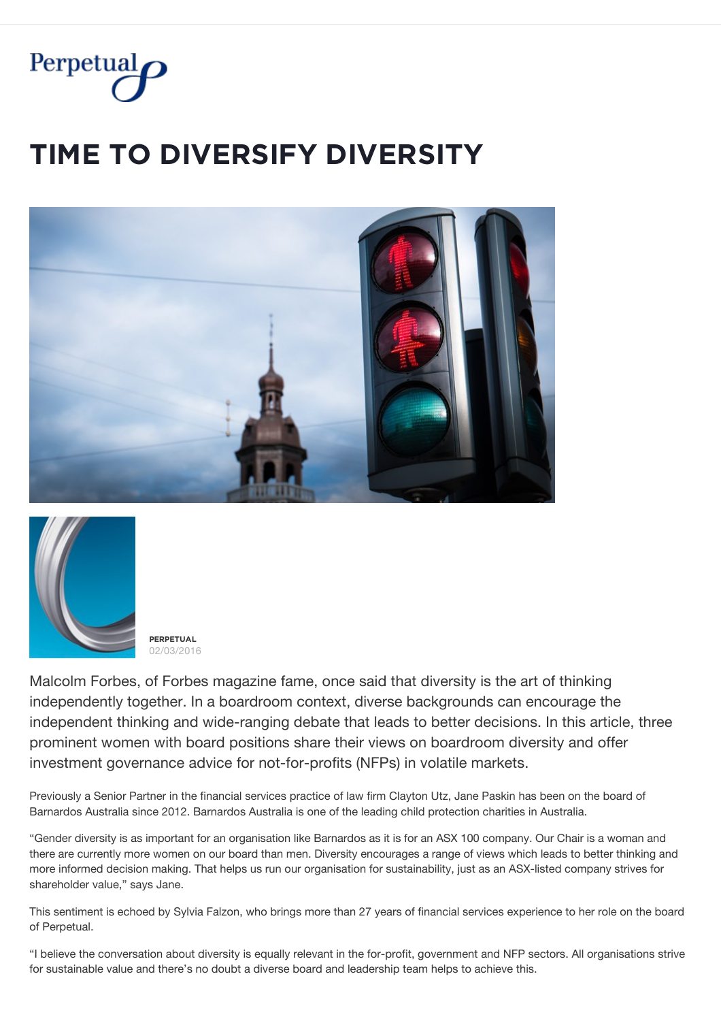

## **ȚİMĚ ȚǾ ĐİVĚŘȘİFỲ ĐİVĚŘȘİȚỲ**





**PFRPFTUAL** 02/03/2016

Malcolm Forbes, of Forbes magazine fame, once said that diversity is the art of thinking independently together. In a boardroom context, diverse backgrounds can encourage the independent thinking and wide-ranging debate that leads to better decisions. In this article, three prominent women with board positions share their views on boardroom diversity and offer investment governance advice for not-for-profits (NFPs) in volatile markets.

Previously a Senior Partner in the financial services practice of law firm Clayton Utz, Jane Paskin has been on the board of Barnardos Australia since 2012. Barnardos Australia is one of the leading child protection charities in Australia.

"Gender diversity is as important for an organisation like Barnardos as it is for an ASX 100 company. Our Chair is a woman and there are currently more women on our board than men. Diversity encourages a range of views which leads to better thinking and more informed decision making. That helps us run our organisation for sustainability, just as an ASX-listed company strives for shareholder value," says Jane.

This sentiment is echoed by Sylvia Falzon, who brings more than 27 years of financial services experience to her role on the board of Perpetual.

"I believe the conversation about diversity is equally relevant in the for-profit, government and NFP sectors. All organisations strive for sustainable value and there's no doubt a diverse board and leadership team helps to achieve this.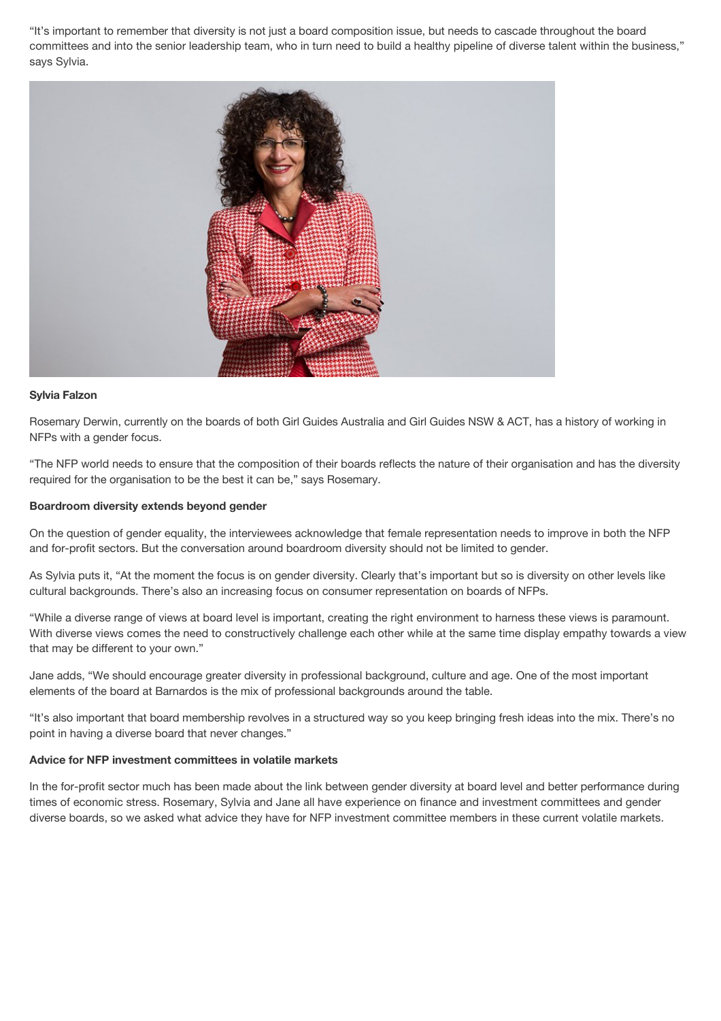"It's important to remember that diversity is not just a board composition issue, but needs to cascade throughout the board committees and into the senior leadership team, who in turn need to build a healthy pipeline of diverse talent within the business," says Sylvia.



## **Sylvia Falzon**

Rosemary Derwin, currently on the boards of both Girl Guides Australia and Girl Guides NSW & ACT, has a history of working in NFPs with a gender focus.

"The NFP world needs to ensure that the composition of their boards reflects the nature of their organisation and has the diversity required for the organisation to be the best it can be," says Rosemary.

## **Boardroom diversity extends beyond gender**

On the question of gender equality, the interviewees acknowledge that female representation needs to improve in both the NFP and for-profit sectors. But the conversation around boardroom diversity should not be limited to gender.

As Sylvia puts it, "At the moment the focus is on gender diversity. Clearly that's important but so is diversity on other levels like cultural backgrounds. There's also an increasing focus on consumer representation on boards of NFPs.

"While a diverse range of views at board level is important, creating the right environment to harness these views is paramount. With diverse views comes the need to constructively challenge each other while at the same time display empathy towards a view that may be different to your own."

Jane adds, "We should encourage greater diversity in professional background, culture and age. One of the most important elements of the board at Barnardos is the mix of professional backgrounds around the table.

"It's also important that board membership revolves in a structured way so you keep bringing fresh ideas into the mix. There's no point in having a diverse board that never changes."

## **Advice for NFP investment committees in volatile markets**

In the for-profit sector much has been made about the link between gender diversity at board level and better performance during times of economic stress. Rosemary, Sylvia and Jane all have experience on finance and investment committees and gender diverse boards, so we asked what advice they have for NFP investment committee members in these current volatile markets.